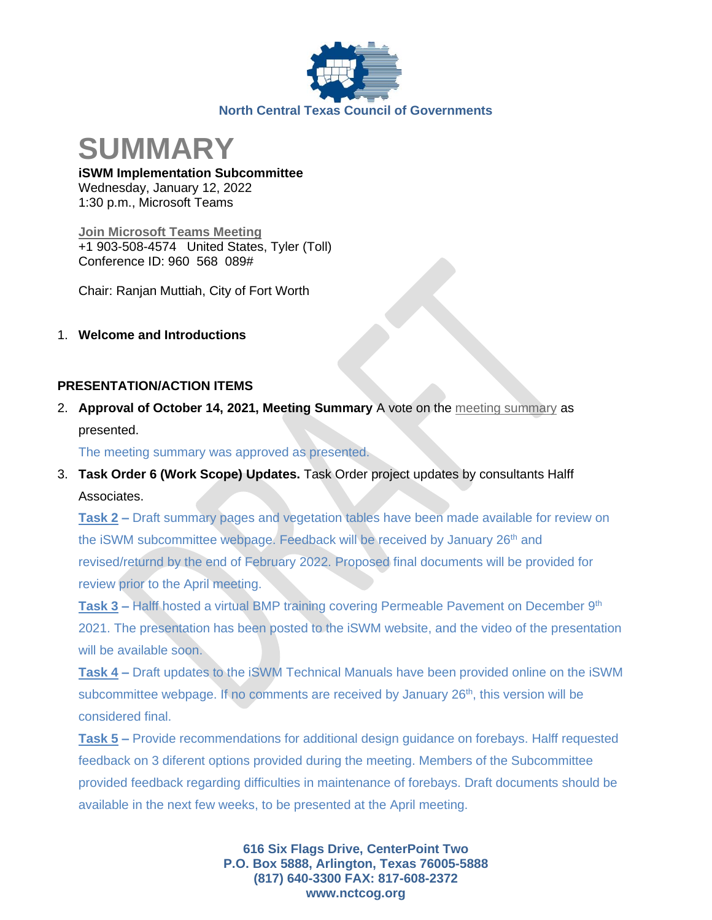

**SUMMARY**

**iSWM Implementation Subcommittee** Wednesday, January 12, 2022 1:30 p.m., Microsoft Teams

**[Join Microsoft Teams Meeting](https://teams.microsoft.com/dl/launcher/launcher.html?url=%2F_%23%2Fl%2Fmeetup-join%2F19%3Ameeting_ZWEwYjhjZTctNzZkMy00ZTk1LTk1NDItN2Q0ZjkxYTg2OWRj%40thread.v2%2F0%3Fcontext%3D%257b%2522Tid%2522%253a%25222f5e7ebc-22b0-4fbe-934c-aabddb4e29b1%2522%252c%2522Oid%2522%253a%2522e36755e2-eefa-4b02-b9cc-4498875cd36a%2522%257d%26anon%3Dtrue&type=meetup-join&deeplinkId=7ed837ba-0565-470a-aad2-6c43618ba8e2&directDl=true&msLaunch=true&enableMobilePage=true&suppressPrompt=true)** +1 903-508-4574 United States, Tyler (Toll) Conference ID: 960 568 089#

Chair: Ranjan Muttiah, City of Fort Worth

1. **Welcome and Introductions**

#### **PRESENTATION/ACTION ITEMS**

2. **Approval of October 14, 2021, Meeting Summary** A vote on the [meeting summary](https://www.nctcog.org/nctcg/media/Environment-and-Development/Committee%20Documents/iSWM/FY2022/Draft-10-14-21-Summary.pdf?ext=.pdf) as presented.

The meeting summary was approved as presented.

3. **Task Order 6 (Work Scope) Updates.** Task Order project updates by consultants Halff Associates.

**Task 2 –** Draft summary pages and vegetation tables have been made available for review on the iSWM subcommittee webpage. Feedback will be received by January 26<sup>th</sup> and revised/returnd by the end of February 2022. Proposed final documents will be provided for review prior to the April meeting.

**Task 3 –** Halff hosted a virtual BMP training covering Permeable Pavement on December 9<sup>th</sup> 2021. The presentation has been posted to the iSWM website, and the video of the presentation will be available soon.

**Task 4 –** Draft updates to the iSWM Technical Manuals have been provided online on the iSWM subcommittee webpage. If no comments are received by January  $26<sup>th</sup>$ , this version will be considered final.

**Task 5 –** Provide recommendations for additional design guidance on forebays. Halff requested feedback on 3 diferent options provided during the meeting. Members of the Subcommittee provided feedback regarding difficulties in maintenance of forebays. Draft documents should be available in the next few weeks, to be presented at the April meeting.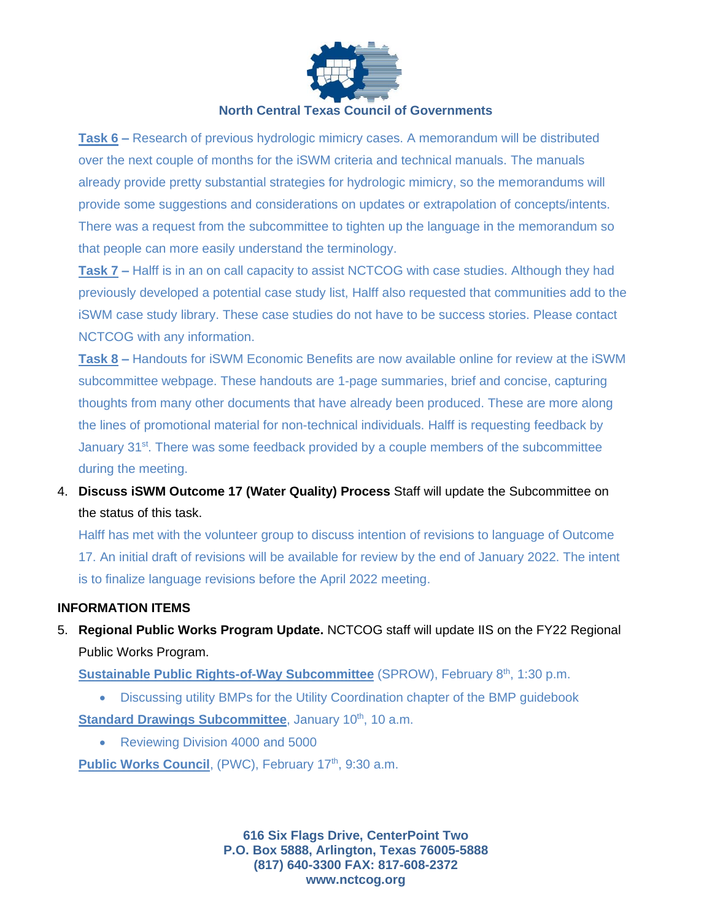

#### **North Central Texas Council of Governments**

**Task 6 –** Research of previous hydrologic mimicry cases. A memorandum will be distributed over the next couple of months for the iSWM criteria and technical manuals. The manuals already provide pretty substantial strategies for hydrologic mimicry, so the memorandums will provide some suggestions and considerations on updates or extrapolation of concepts/intents. There was a request from the subcommittee to tighten up the language in the memorandum so that people can more easily understand the terminology.

**Task 7 –** Halff is in an on call capacity to assist NCTCOG with case studies. Although they had previously developed a potential case study list, Halff also requested that communities add to the iSWM case study library. These case studies do not have to be success stories. Please contact NCTCOG with any information.

**Task 8 –** Handouts for iSWM Economic Benefits are now available online for review at the iSWM subcommittee webpage. These handouts are 1-page summaries, brief and concise, capturing thoughts from many other documents that have already been produced. These are more along the lines of promotional material for non-technical individuals. Halff is requesting feedback by January 31<sup>st</sup>. There was some feedback provided by a couple members of the subcommittee during the meeting.

4. **Discuss iSWM Outcome 17 (Water Quality) Process** Staff will update the Subcommittee on the status of this task.

Halff has met with the volunteer group to discuss intention of revisions to language of Outcome 17. An initial draft of revisions will be available for review by the end of January 2022. The intent is to finalize language revisions before the April 2022 meeting.

#### **INFORMATION ITEMS**

5. **Regional Public Works Program Update.** NCTCOG staff will update IIS on the FY22 Regional Public Works Program.

Sustainable Public Rights-of-Way Subcommittee (SPROW), February 8<sup>th</sup>, 1:30 p.m.

- Discussing utility BMPs for the Utility Coordination chapter of the BMP guidebook Standard Drawings Subcommittee, January 10<sup>th</sup>, 10 a.m.
	- Reviewing Division 4000 and 5000

Public Works Council, (PWC), February 17<sup>th</sup>, 9:30 a.m.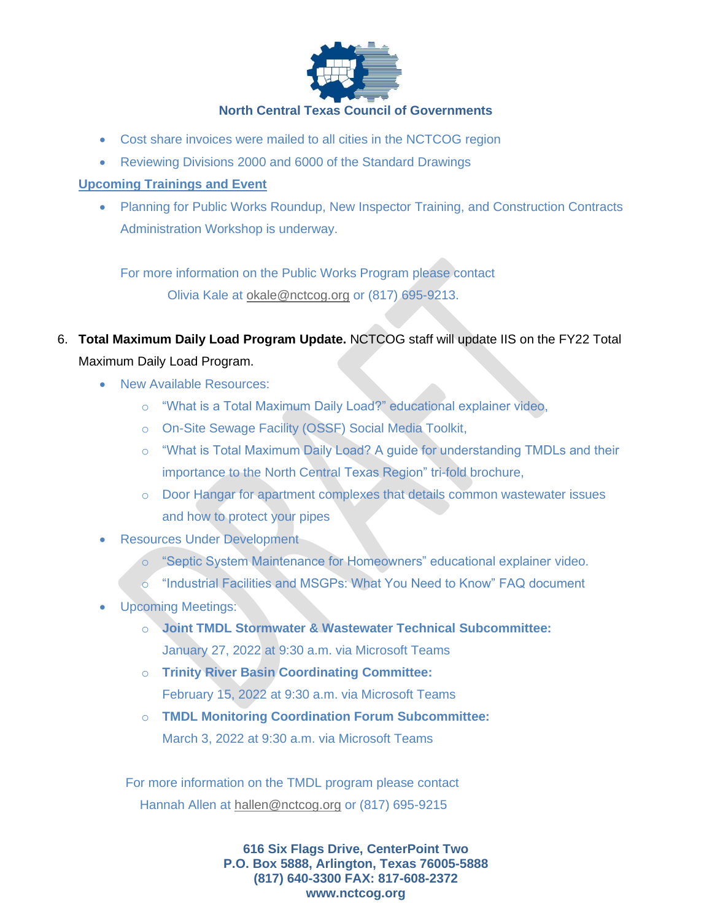

### **North Central Texas Council of Governments**

- Cost share invoices were mailed to all cities in the NCTCOG region
- Reviewing Divisions 2000 and 6000 of the Standard Drawings

## **Upcoming Trainings and Event**

• Planning for Public Works Roundup, New Inspector Training, and Construction Contracts Administration Workshop is underway.

For more information on the Public Works Program please contact Olivia Kale at [okale@nctcog.org](mailto:okale@nctcog.org) or (817) 695-9213.

- 6. **Total Maximum Daily Load Program Update.** NCTCOG staff will update IIS on the FY22 Total Maximum Daily Load Program.
	- New Available Resources:
		- o "What is a Total Maximum Daily Load?" educational explainer video,
		- o On-Site Sewage Facility (OSSF) Social Media Toolkit,
		- o "What is Total Maximum Daily Load? A guide for understanding TMDLs and their importance to the North Central Texas Region" tri-fold brochure,
		- o Door Hangar for apartment complexes that details common wastewater issues and how to protect your pipes
	- Resources Under Development
		- o "Septic System Maintenance for Homeowners" educational explainer video.
		- o "Industrial Facilities and MSGPs: What You Need to Know" FAQ document
	- Upcoming Meetings:
		- o **Joint TMDL Stormwater & Wastewater Technical Subcommittee:**  January 27, 2022 at 9:30 a.m. via Microsoft Teams
		- o **Trinity River Basin Coordinating Committee:**  February 15, 2022 at 9:30 a.m. via Microsoft Teams
		- o **TMDL Monitoring Coordination Forum Subcommittee:**  March 3, 2022 at 9:30 a.m. via Microsoft Teams

For more information on the TMDL program please contact Hannah Allen at [hallen@nctcog.org](mailto:hallen@nctcog.org) or (817) 695-9215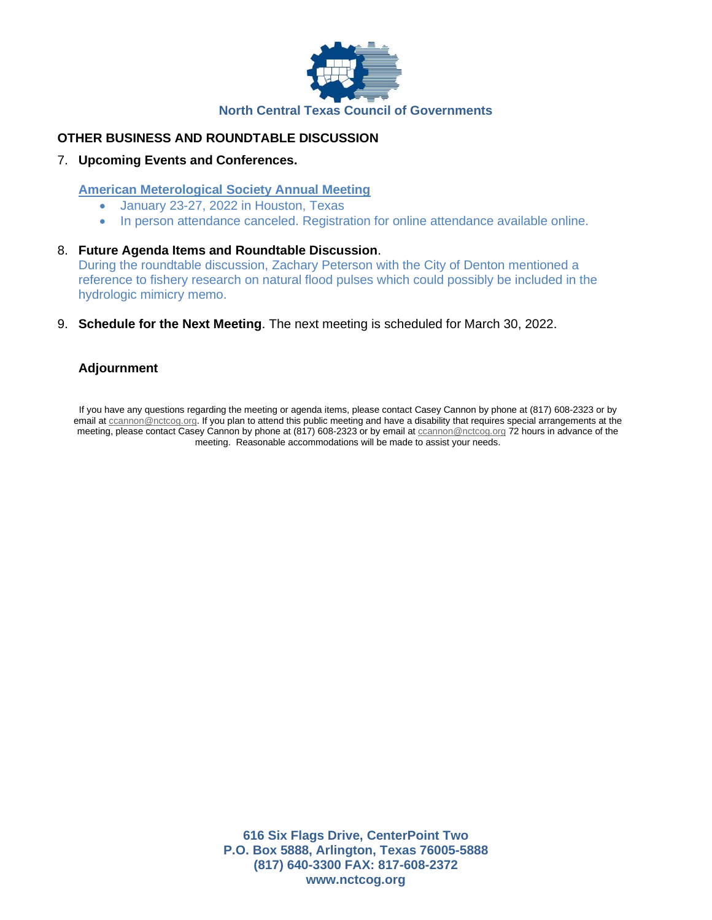

## **OTHER BUSINESS AND ROUNDTABLE DISCUSSION**

#### 7. **Upcoming Events and Conferences.**

#### **American Meterological Society Annual Meeting**

- January 23-27, 2022 in Houston, Texas
- In person attendance canceled. Registration for online attendance available online.
- 8. **Future Agenda Items and Roundtable Discussion**. During the roundtable discussion, Zachary Peterson with the City of Denton mentioned a reference to fishery research on natural flood pulses which could possibly be included in the hydrologic mimicry memo.
- 9. **Schedule for the Next Meeting**. The next meeting is scheduled for March 30, 2022.

#### **Adjournment**

If you have any questions regarding the meeting or agenda items, please contact Casey Cannon by phone at (817) 608-2323 or by email at [ccannon@nctcog.org.](mailto:ccannon@nctcog.org) If you plan to attend this public meeting and have a disability that requires special arrangements at the meeting, please contact Casey Cannon by phone at (817) 608-2323 or by email at coannon@nctcog.org 72 hours in advance of the meeting. Reasonable accommodations will be made to assist your needs.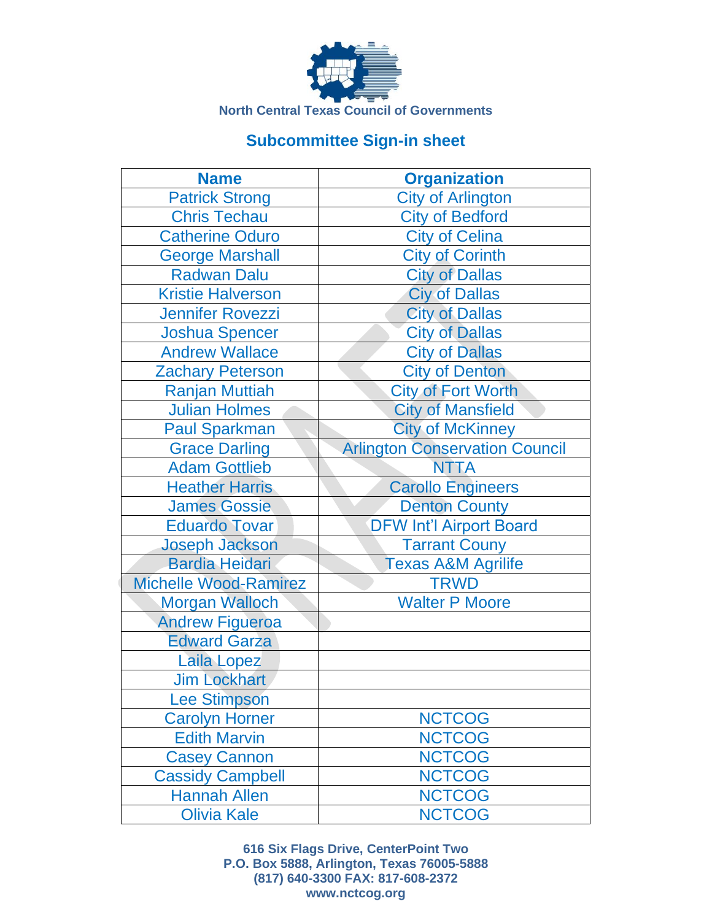

# **Subcommittee Sign-in sheet**

| <b>Name</b>                  | <b>Organization</b>                   |
|------------------------------|---------------------------------------|
| <b>Patrick Strong</b>        | <b>City of Arlington</b>              |
| <b>Chris Techau</b>          | <b>City of Bedford</b>                |
| <b>Catherine Oduro</b>       | <b>City of Celina</b>                 |
| <b>George Marshall</b>       | <b>City of Corinth</b>                |
| <b>Radwan Dalu</b>           | <b>City of Dallas</b>                 |
| <b>Kristie Halverson</b>     | <b>Ciy of Dallas</b>                  |
| <b>Jennifer Rovezzi</b>      | <b>City of Dallas</b>                 |
| <b>Joshua Spencer</b>        | <b>City of Dallas</b>                 |
| <b>Andrew Wallace</b>        | <b>City of Dallas</b>                 |
| <b>Zachary Peterson</b>      | <b>City of Denton</b>                 |
| <b>Ranjan Muttiah</b>        | <b>City of Fort Worth</b>             |
| <b>Julian Holmes</b>         | <b>City of Mansfield</b>              |
| <b>Paul Sparkman</b>         | <b>City of McKinney</b>               |
| <b>Grace Darling</b>         | <b>Arlington Conservation Council</b> |
| <b>Adam Gottlieb</b>         | <b>NTTA</b>                           |
| <b>Heather Harris</b>        | <b>Carollo Engineers</b>              |
| <b>James Gossie</b>          | <b>Denton County</b>                  |
| <b>Eduardo Tovar</b>         | <b>DFW Int'l Airport Board</b>        |
| <b>Joseph Jackson</b>        | <b>Tarrant Couny</b>                  |
| <b>Bardia Heidari</b>        | <b>Texas A&amp;M Agrilife</b>         |
| <b>Michelle Wood-Ramirez</b> | <b>TRWD</b>                           |
| <b>Morgan Walloch</b>        | <b>Walter P Moore</b>                 |
| <b>Andrew Figueroa</b>       |                                       |
| <b>Edward Garza</b>          |                                       |
| <b>Laila Lopez</b>           |                                       |
| <b>Jim Lockhart</b>          |                                       |
| <b>Lee Stimpson</b>          |                                       |
| <b>Carolyn Horner</b>        | <b>NCTCOG</b>                         |
| <b>Edith Marvin</b>          | <b>NCTCOG</b>                         |
| <b>Casey Cannon</b>          | <b>NCTCOG</b>                         |
| <b>Cassidy Campbell</b>      | <b>NCTCOG</b>                         |
| <b>Hannah Allen</b>          | <b>NCTCOG</b>                         |
| <b>Olivia Kale</b>           | <b>NCTCOG</b>                         |